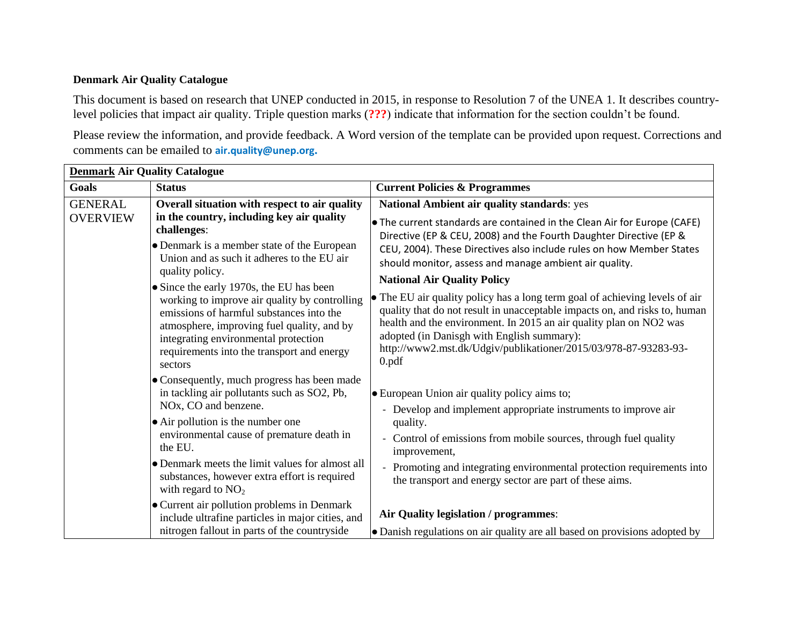## **Denmark Air Quality Catalogue**

This document is based on research that UNEP conducted in 2015, in response to Resolution 7 of the UNEA 1. It describes countrylevel policies that impact air quality. Triple question marks (**???**) indicate that information for the section couldn't be found.

Please review the information, and provide feedback. A Word version of the template can be provided upon request. Corrections and comments can be emailed to **air.quality@unep.org.** 

| <b>Denmark Air Quality Catalogue</b> |                                                                                                                                                                                                                                                                                      |                                                                                                                                                                                                                                                                                                                                                                       |  |
|--------------------------------------|--------------------------------------------------------------------------------------------------------------------------------------------------------------------------------------------------------------------------------------------------------------------------------------|-----------------------------------------------------------------------------------------------------------------------------------------------------------------------------------------------------------------------------------------------------------------------------------------------------------------------------------------------------------------------|--|
| <b>Goals</b>                         | <b>Status</b>                                                                                                                                                                                                                                                                        | <b>Current Policies &amp; Programmes</b>                                                                                                                                                                                                                                                                                                                              |  |
| <b>GENERAL</b><br><b>OVERVIEW</b>    | Overall situation with respect to air quality<br>in the country, including key air quality<br>challenges:<br>• Denmark is a member state of the European<br>Union and as such it adheres to the EU air<br>quality policy.                                                            | National Ambient air quality standards: yes<br>• The current standards are contained in the Clean Air for Europe (CAFE)<br>Directive (EP & CEU, 2008) and the Fourth Daughter Directive (EP &<br>CEU, 2004). These Directives also include rules on how Member States<br>should monitor, assess and manage ambient air quality.<br><b>National Air Quality Policy</b> |  |
|                                      | • Since the early 1970s, the EU has been<br>working to improve air quality by controlling<br>emissions of harmful substances into the<br>atmosphere, improving fuel quality, and by<br>integrating environmental protection<br>requirements into the transport and energy<br>sectors | • The EU air quality policy has a long term goal of achieving levels of air<br>quality that do not result in unacceptable impacts on, and risks to, human<br>health and the environment. In 2015 an air quality plan on NO2 was<br>adopted (in Danisgh with English summary):<br>http://www2.mst.dk/Udgiv/publikationer/2015/03/978-87-93283-93-<br>0.pdf             |  |
|                                      | • Consequently, much progress has been made<br>in tackling air pollutants such as SO2, Pb,<br>• European Union air quality policy aims to;<br>NOx, CO and benzene.<br>• Air pollution is the number one<br>quality.<br>environmental cause of premature death in<br>the EU.          | - Develop and implement appropriate instruments to improve air<br>- Control of emissions from mobile sources, through fuel quality<br>improvement,                                                                                                                                                                                                                    |  |
|                                      | • Denmark meets the limit values for almost all<br>substances, however extra effort is required<br>with regard to $NO2$                                                                                                                                                              | - Promoting and integrating environmental protection requirements into<br>the transport and energy sector are part of these aims.                                                                                                                                                                                                                                     |  |
|                                      | • Current air pollution problems in Denmark<br>include ultrafine particles in major cities, and<br>nitrogen fallout in parts of the countryside                                                                                                                                      | Air Quality legislation / programmes:<br>• Danish regulations on air quality are all based on provisions adopted by                                                                                                                                                                                                                                                   |  |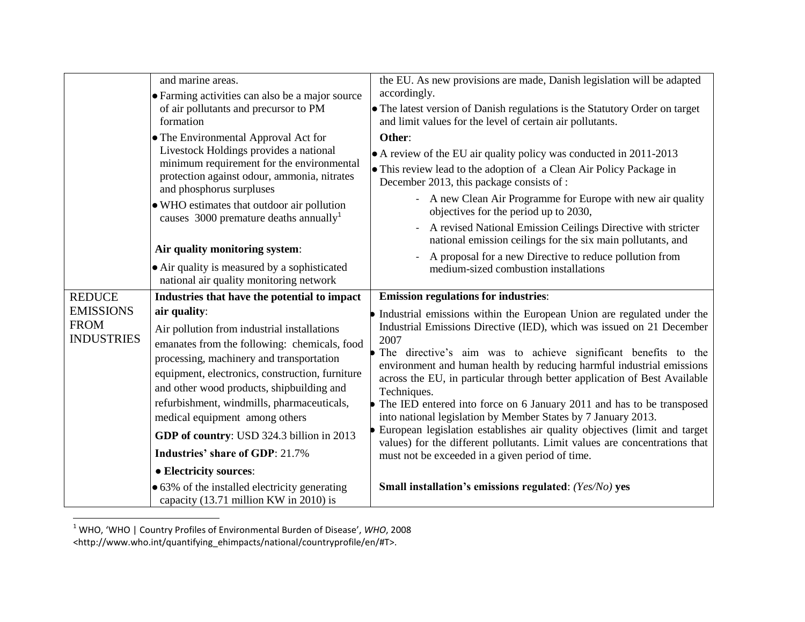|                                                      | and marine areas.<br>• Farming activities can also be a major source<br>of air pollutants and precursor to PM<br>formation                                                                                                                                                                                                                                                                                                                               | the EU. As new provisions are made, Danish legislation will be adapted<br>accordingly.<br>• The latest version of Danish regulations is the Statutory Order on target<br>and limit values for the level of certain air pollutants.                                                                                                                                                                                                                                                                                                                                                                                                                                                                                                                             |
|------------------------------------------------------|----------------------------------------------------------------------------------------------------------------------------------------------------------------------------------------------------------------------------------------------------------------------------------------------------------------------------------------------------------------------------------------------------------------------------------------------------------|----------------------------------------------------------------------------------------------------------------------------------------------------------------------------------------------------------------------------------------------------------------------------------------------------------------------------------------------------------------------------------------------------------------------------------------------------------------------------------------------------------------------------------------------------------------------------------------------------------------------------------------------------------------------------------------------------------------------------------------------------------------|
|                                                      | • The Environmental Approval Act for<br>Livestock Holdings provides a national<br>minimum requirement for the environmental<br>protection against odour, ammonia, nitrates<br>and phosphorus surpluses<br>• WHO estimates that outdoor air pollution<br>causes 3000 premature deaths annually <sup>1</sup><br>Air quality monitoring system:<br>• Air quality is measured by a sophisticated<br>national air quality monitoring network                  | Other:<br>• A review of the EU air quality policy was conducted in 2011-2013<br>• This review lead to the adoption of a Clean Air Policy Package in<br>December 2013, this package consists of :<br>- A new Clean Air Programme for Europe with new air quality<br>objectives for the period up to 2030,<br>A revised National Emission Ceilings Directive with stricter<br>national emission ceilings for the six main pollutants, and<br>A proposal for a new Directive to reduce pollution from<br>medium-sized combustion installations                                                                                                                                                                                                                    |
| <b>REDUCE</b>                                        | Industries that have the potential to impact                                                                                                                                                                                                                                                                                                                                                                                                             | <b>Emission regulations for industries:</b>                                                                                                                                                                                                                                                                                                                                                                                                                                                                                                                                                                                                                                                                                                                    |
| <b>EMISSIONS</b><br><b>FROM</b><br><b>INDUSTRIES</b> | air quality:<br>Air pollution from industrial installations<br>emanates from the following: chemicals, food<br>processing, machinery and transportation<br>equipment, electronics, construction, furniture<br>and other wood products, shipbuilding and<br>refurbishment, windmills, pharmaceuticals,<br>medical equipment among others<br>GDP of country: USD 324.3 billion in 2013<br><b>Industries' share of GDP: 21.7%</b><br>• Electricity sources: | • Industrial emissions within the European Union are regulated under the<br>Industrial Emissions Directive (IED), which was issued on 21 December<br>2007<br>• The directive's aim was to achieve significant benefits to the<br>environment and human health by reducing harmful industrial emissions<br>across the EU, in particular through better application of Best Available<br>Techniques.<br>• The IED entered into force on 6 January 2011 and has to be transposed<br>into national legislation by Member States by 7 January 2013.<br>• European legislation establishes air quality objectives (limit and target<br>values) for the different pollutants. Limit values are concentrations that<br>must not be exceeded in a given period of time. |
|                                                      | • 63% of the installed electricity generating<br>capacity (13.71 million KW in 2010) is                                                                                                                                                                                                                                                                                                                                                                  | Small installation's emissions regulated: (Yes/No) yes                                                                                                                                                                                                                                                                                                                                                                                                                                                                                                                                                                                                                                                                                                         |

<sup>1</sup> WHO, 'WHO | Country Profiles of Environmental Burden of Disease', *WHO*, 2008 <http://www.who.int/quantifying\_ehimpacts/national/countryprofile/en/#T>.

l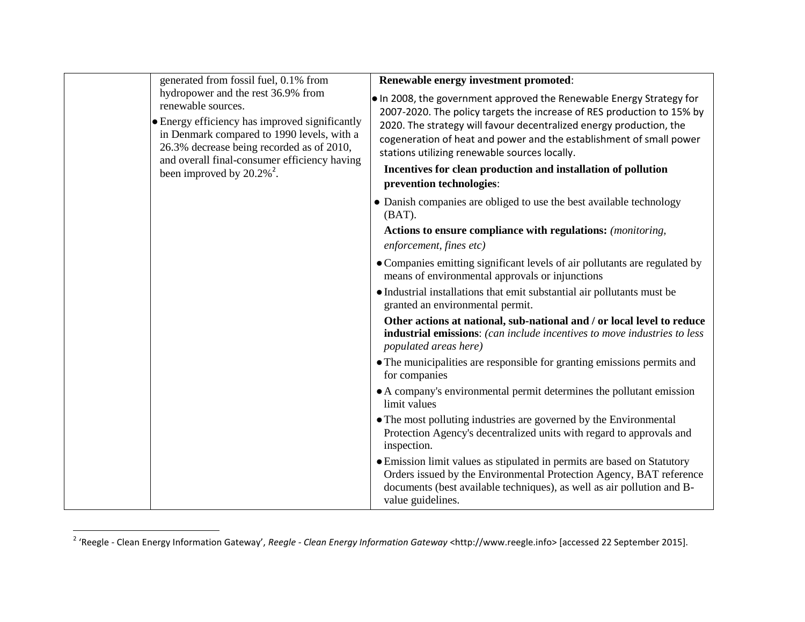|  | generated from fossil fuel, 0.1% from                                                                                                                                                                                                                                                             | Renewable energy investment promoted:                                                                                                                                                                                                                                                                                                         |
|--|---------------------------------------------------------------------------------------------------------------------------------------------------------------------------------------------------------------------------------------------------------------------------------------------------|-----------------------------------------------------------------------------------------------------------------------------------------------------------------------------------------------------------------------------------------------------------------------------------------------------------------------------------------------|
|  | hydropower and the rest 36.9% from<br>renewable sources.<br>• Energy efficiency has improved significantly<br>in Denmark compared to 1990 levels, with a<br>26.3% decrease being recorded as of 2010,<br>and overall final-consumer efficiency having<br>been improved by $20.2\%$ <sup>2</sup> . | . In 2008, the government approved the Renewable Energy Strategy for<br>2007-2020. The policy targets the increase of RES production to 15% by<br>2020. The strategy will favour decentralized energy production, the<br>cogeneration of heat and power and the establishment of small power<br>stations utilizing renewable sources locally. |
|  |                                                                                                                                                                                                                                                                                                   | Incentives for clean production and installation of pollution                                                                                                                                                                                                                                                                                 |
|  |                                                                                                                                                                                                                                                                                                   | prevention technologies:                                                                                                                                                                                                                                                                                                                      |
|  |                                                                                                                                                                                                                                                                                                   | • Danish companies are obliged to use the best available technology<br>$(BAT)$ .                                                                                                                                                                                                                                                              |
|  |                                                                                                                                                                                                                                                                                                   | Actions to ensure compliance with regulations: (monitoring,                                                                                                                                                                                                                                                                                   |
|  |                                                                                                                                                                                                                                                                                                   | enforcement, fines etc)                                                                                                                                                                                                                                                                                                                       |
|  |                                                                                                                                                                                                                                                                                                   | • Companies emitting significant levels of air pollutants are regulated by<br>means of environmental approvals or injunctions                                                                                                                                                                                                                 |
|  |                                                                                                                                                                                                                                                                                                   | • Industrial installations that emit substantial air pollutants must be<br>granted an environmental permit.                                                                                                                                                                                                                                   |
|  |                                                                                                                                                                                                                                                                                                   | Other actions at national, sub-national and / or local level to reduce<br>industrial emissions: (can include incentives to move industries to less<br>populated areas here)                                                                                                                                                                   |
|  |                                                                                                                                                                                                                                                                                                   | • The municipalities are responsible for granting emissions permits and<br>for companies                                                                                                                                                                                                                                                      |
|  |                                                                                                                                                                                                                                                                                                   | • A company's environmental permit determines the pollutant emission<br>limit values                                                                                                                                                                                                                                                          |
|  |                                                                                                                                                                                                                                                                                                   | • The most polluting industries are governed by the Environmental<br>Protection Agency's decentralized units with regard to approvals and<br>inspection.                                                                                                                                                                                      |
|  |                                                                                                                                                                                                                                                                                                   | • Emission limit values as stipulated in permits are based on Statutory<br>Orders issued by the Environmental Protection Agency, BAT reference<br>documents (best available techniques), as well as air pollution and B-<br>value guidelines.                                                                                                 |

 2 'Reegle - Clean Energy Information Gateway', *Reegle - Clean Energy Information Gateway* <http://www.reegle.info> [accessed 22 September 2015].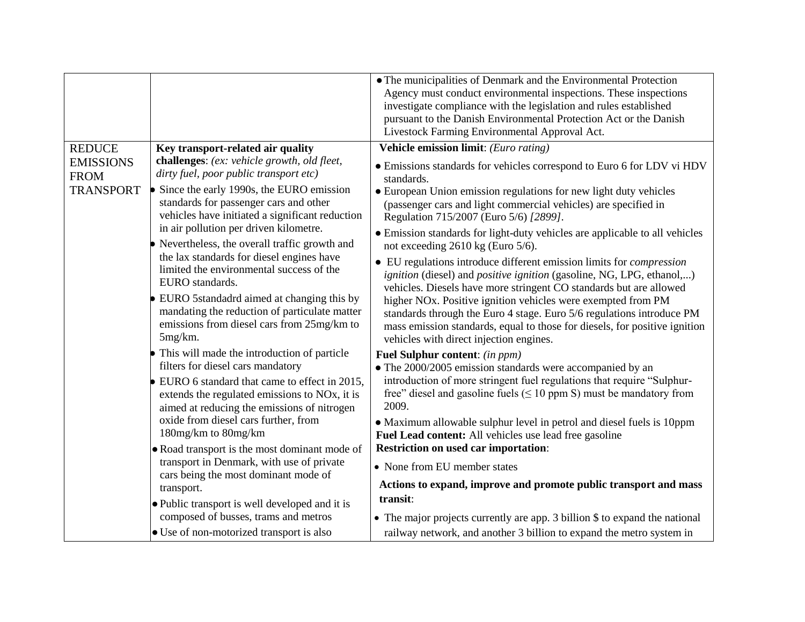|                                   |                                                                                                                                                           | • The municipalities of Denmark and the Environmental Protection<br>Agency must conduct environmental inspections. These inspections<br>investigate compliance with the legislation and rules established<br>pursuant to the Danish Environmental Protection Act or the Danish<br>Livestock Farming Environmental Approval Act. |
|-----------------------------------|-----------------------------------------------------------------------------------------------------------------------------------------------------------|---------------------------------------------------------------------------------------------------------------------------------------------------------------------------------------------------------------------------------------------------------------------------------------------------------------------------------|
| <b>REDUCE</b><br><b>EMISSIONS</b> | Key transport-related air quality<br>challenges: (ex: vehicle growth, old fleet,                                                                          | Vehicle emission limit: (Euro rating)                                                                                                                                                                                                                                                                                           |
| <b>FROM</b>                       | dirty fuel, poor public transport etc)                                                                                                                    | • Emissions standards for vehicles correspond to Euro 6 for LDV vi HDV<br>standards.                                                                                                                                                                                                                                            |
| <b>TRANSPORT</b>                  | Since the early 1990s, the EURO emission<br>standards for passenger cars and other<br>vehicles have initiated a significant reduction                     | • European Union emission regulations for new light duty vehicles<br>(passenger cars and light commercial vehicles) are specified in<br>Regulation 715/2007 (Euro 5/6) [2899].                                                                                                                                                  |
|                                   | in air pollution per driven kilometre.<br>Nevertheless, the overall traffic growth and                                                                    | • Emission standards for light-duty vehicles are applicable to all vehicles<br>not exceeding 2610 kg (Euro 5/6).                                                                                                                                                                                                                |
|                                   | the lax standards for diesel engines have<br>limited the environmental success of the<br>EURO standards.                                                  | • EU regulations introduce different emission limits for <i>compression</i><br><i>ignition</i> (diesel) and <i>positive ignition</i> (gasoline, NG, LPG, ethanol,)<br>vehicles. Diesels have more stringent CO standards but are allowed                                                                                        |
|                                   | EURO 5standadrd aimed at changing this by<br>mandating the reduction of particulate matter<br>emissions from diesel cars from 25mg/km to<br>$5mg/km$ .    | higher NO <sub>x</sub> . Positive ignition vehicles were exempted from PM<br>standards through the Euro 4 stage. Euro 5/6 regulations introduce PM<br>mass emission standards, equal to those for diesels, for positive ignition<br>vehicles with direct injection engines.                                                     |
|                                   | • This will made the introduction of particle<br>filters for diesel cars mandatory                                                                        | Fuel Sulphur content: (in ppm)                                                                                                                                                                                                                                                                                                  |
|                                   | EURO 6 standard that came to effect in 2015,<br>extends the regulated emissions to NO <sub>x</sub> , it is<br>aimed at reducing the emissions of nitrogen | • The 2000/2005 emission standards were accompanied by an<br>introduction of more stringent fuel regulations that require "Sulphur-<br>free" diesel and gasoline fuels ( $\leq 10$ ppm S) must be mandatory from<br>2009.                                                                                                       |
|                                   | oxide from diesel cars further, from<br>180mg/km to 80mg/km                                                                                               | • Maximum allowable sulphur level in petrol and diesel fuels is 10ppm<br>Fuel Lead content: All vehicles use lead free gasoline                                                                                                                                                                                                 |
|                                   | • Road transport is the most dominant mode of                                                                                                             | <b>Restriction on used car importation:</b>                                                                                                                                                                                                                                                                                     |
|                                   | transport in Denmark, with use of private<br>cars being the most dominant mode of                                                                         | • None from EU member states                                                                                                                                                                                                                                                                                                    |
|                                   | transport.                                                                                                                                                | Actions to expand, improve and promote public transport and mass                                                                                                                                                                                                                                                                |
|                                   | . Public transport is well developed and it is                                                                                                            | transit:                                                                                                                                                                                                                                                                                                                        |
|                                   | composed of busses, trams and metros                                                                                                                      | • The major projects currently are app. 3 billion \$ to expand the national                                                                                                                                                                                                                                                     |
|                                   | • Use of non-motorized transport is also                                                                                                                  | railway network, and another 3 billion to expand the metro system in                                                                                                                                                                                                                                                            |